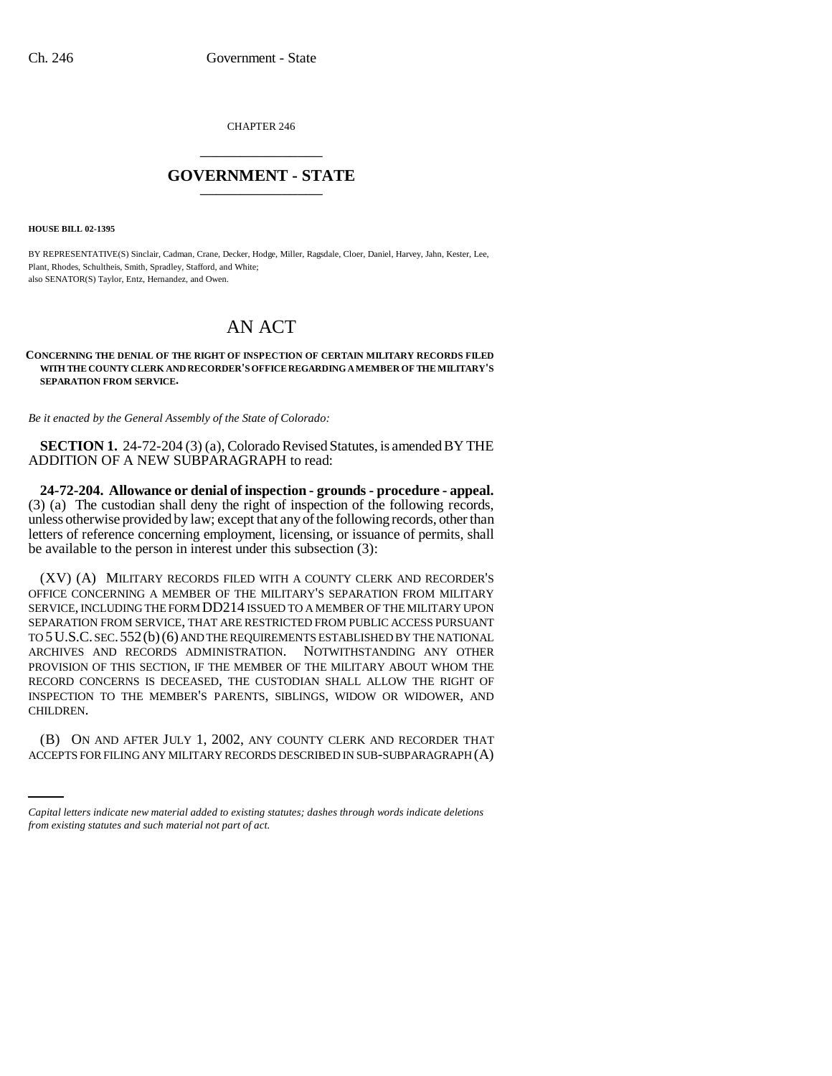CHAPTER 246 \_\_\_\_\_\_\_\_\_\_\_\_\_\_\_

## **GOVERNMENT - STATE** \_\_\_\_\_\_\_\_\_\_\_\_\_\_\_

**HOUSE BILL 02-1395**

BY REPRESENTATIVE(S) Sinclair, Cadman, Crane, Decker, Hodge, Miller, Ragsdale, Cloer, Daniel, Harvey, Jahn, Kester, Lee, Plant, Rhodes, Schultheis, Smith, Spradley, Stafford, and White; also SENATOR(S) Taylor, Entz, Hernandez, and Owen.

## AN ACT

## **CONCERNING THE DENIAL OF THE RIGHT OF INSPECTION OF CERTAIN MILITARY RECORDS FILED WITH THE COUNTY CLERK AND RECORDER'S OFFICE REGARDING A MEMBER OF THE MILITARY'S SEPARATION FROM SERVICE.**

*Be it enacted by the General Assembly of the State of Colorado:*

**SECTION 1.** 24-72-204 (3) (a), Colorado Revised Statutes, is amended BY THE ADDITION OF A NEW SUBPARAGRAPH to read:

**24-72-204. Allowance or denial of inspection - grounds - procedure - appeal.** (3) (a) The custodian shall deny the right of inspection of the following records, unless otherwise provided by law; except that any of the following records, other than letters of reference concerning employment, licensing, or issuance of permits, shall be available to the person in interest under this subsection (3):

(XV) (A) MILITARY RECORDS FILED WITH A COUNTY CLERK AND RECORDER'S OFFICE CONCERNING A MEMBER OF THE MILITARY'S SEPARATION FROM MILITARY SERVICE, INCLUDING THE FORM DD214 ISSUED TO A MEMBER OF THE MILITARY UPON SEPARATION FROM SERVICE, THAT ARE RESTRICTED FROM PUBLIC ACCESS PURSUANT TO 5U.S.C. SEC.552(b)(6) AND THE REQUIREMENTS ESTABLISHED BY THE NATIONAL ARCHIVES AND RECORDS ADMINISTRATION. NOTWITHSTANDING ANY OTHER PROVISION OF THIS SECTION, IF THE MEMBER OF THE MILITARY ABOUT WHOM THE RECORD CONCERNS IS DECEASED, THE CUSTODIAN SHALL ALLOW THE RIGHT OF INSPECTION TO THE MEMBER'S PARENTS, SIBLINGS, WIDOW OR WIDOWER, AND CHILDREN.

an<br>Salah (B) ON AND AFTER JULY 1, 2002, ANY COUNTY CLERK AND RECORDER THAT ACCEPTS FOR FILING ANY MILITARY RECORDS DESCRIBED IN SUB-SUBPARAGRAPH (A)

*Capital letters indicate new material added to existing statutes; dashes through words indicate deletions from existing statutes and such material not part of act.*